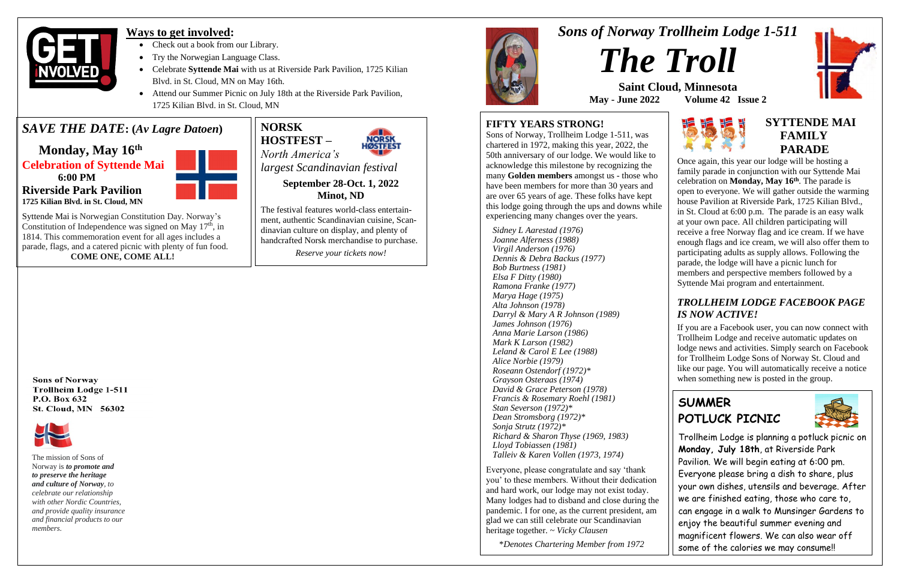*Sons of Norway Trollheim Lodge 1-511*



**Saint Cloud, Minnesota May - June 2022 Volume 42 Issue 2**







### **Ways to get involved:**

- Check out a book from our Library.
- Try the Norwegian Language Class.
- Celebrate **Syttende Mai** with us at Riverside Park Pavilion, 1725 Kilian Blvd. in St. Cloud, MN on May 16th.
- Attend our Summer Picnic on July 18th at the Riverside Park Pavilion, 1725 Kilian Blvd. in St. Cloud, MN

## *SAVE THE DATE***: (***Av Lagre Datoen***)**

 **Monday, May 16th Celebration of Syttende Mai 6:00 PM Riverside Park Pavilion 1725 Kilian Blvd. in St. Cloud, MN**



Syttende Mai is Norwegian Constitution Day. Norway's Constitution of Independence was signed on May  $17<sup>th</sup>$ , in 1814. This commemoration event for all ages includes a parade, flags, and a catered picnic with plenty of fun food.  **COME ONE, COME ALL!**

#### **FIFTY YEARS STRONG!**

Sons of Norway, Trollheim Lodge 1-511, was chartered in 1972, making this year, 2022, the 50th anniversary of our lodge. We would like to acknowledge this milestone by recognizing the many **Golden members** amongst us - those who have been members for more than 30 years and are over 65 years of age. These folks have kept this lodge going through the ups and downs while experiencing many changes over the years.

### **EXTTENDE MAI FAMILY**<br>**PARADE PARADE**

 *Sidney L Aarestad (1976) Joanne Alferness (1988) Virgil Anderson (1976) Dennis & Debra Backus (1977) Bob Burtness (1981) Elsa F Ditty (1980) Ramona Franke (1977) Marya Hage (1975) Alta Johnson (1978) Darryl & Mary A R Johnson (1989) James Johnson (1976) Anna Marie Larson (1986) Mark K Larson (1982) Leland & Carol E Lee (1988) Alice Norbie (1979) Roseann Ostendorf (1972)\* Grayson Osteraas (1974) David & Grace Peterson (1978) Francis & Rosemary Roehl (1981) Stan Severson (1972)\* Dean Stromsborg (1972)\* Sonja Strutz (1972)\* Richard & Sharon Thyse (1969, 1983) Lloyd Tobiassen (1981) Talleiv & Karen Vollen (1973, 1974)*

Everyone, please congratulate and say 'thank you' to these members. Without their dedication and hard work, our lodge may not exist today. Many lodges had to disband and close during the pandemic. I for one, as the current president, am glad we can still celebrate our Scandinavian heritage together. ~ *Vicky Clausen*

\**Denotes Chartering Member from 1972*

**Sons of Norway Trollheim Lodge 1-511** P.O. Box 632 St. Cloud, MN 56302



Once again, this year our lodge will be hosting a family parade in conjunction with our Syttende Mai celebration on **Monday, May 16 th** . The parade is open to everyone. We will gather outside the warming house Pavilion at Riverside Park, 1725 Kilian Blvd., in St. Cloud at 6:00 p.m. The parade is an easy walk at your own pace. All children participating will receive a free Norway flag and ice cream. If we have enough flags and ice cream, we will also offer them to participating adults as supply allows. Following the parade, the lodge will have a picnic lunch for members and perspective members followed by a Syttende Mai program and entertainment.

### *TROLLHEIM LODGE FACEBOOK PAGE IS NOW ACTIVE!*

If you are a Facebook user, you can now connect with Trollheim Lodge and receive automatic updates on lodge news and activities. Simply search on Facebook for Trollheim Lodge Sons of Norway St. Cloud and like our page. You will automatically receive a notice when something new is posted in the group.

The mission of Sons of Norway is *to promote and to preserve the heritage and culture of Norway, to celebrate our relationship with other Nordic Countries, and provide quality insurance and financial products to our members.*

## **SUMMER POTLUCK PICNIC**



Trollheim Lodge is planning a potluck picnic on **Monday, July 18th**, at Riverside Park Pavilion. We will begin eating at 6:00 pm. Everyone please bring a dish to share, plus your own dishes, utensils and beverage. After we are finished eating, those who care to, can engage in a walk to Munsinger Gardens to enjoy the beautiful summer evening and magnificent flowers. We can also wear off some of the calories we may consume!!

**NORSK HOSTFEST –**



*North America's largest Scandinavian festival*

> **September 28-Oct. 1, 2022 Minot, ND**

The festival features world-class entertainment, authentic Scandinavian cuisine, Scandinavian culture on display, and plenty of handcrafted Norsk merchandise to purchase.

*Reserve your tickets now!*